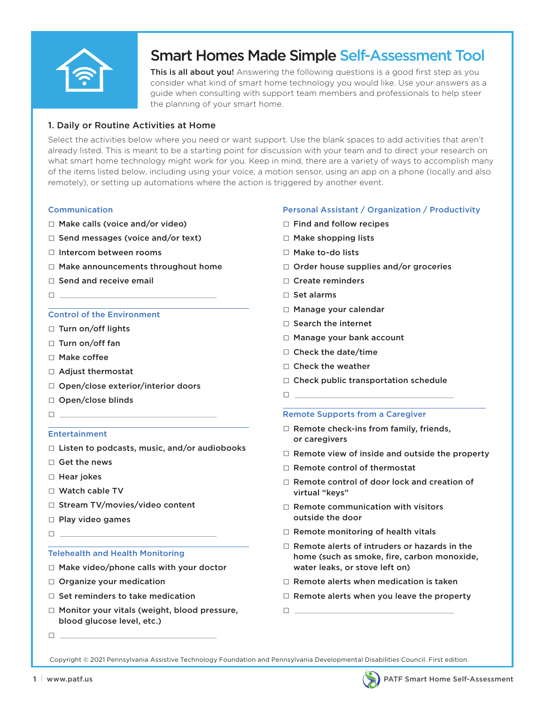

# **Smart Homes Made Simple Self-Assessment Tool**<br>This is all about you! Answering the following questions is a good first step as you

consider what kind of smart home technology you would like. Use your answers as a guide when consulting with support team members and professionals to help steer the planning of your smart home.

# 1. Daily or Routine Activities at Home

Select the activities below where you need or want support. Use the blank spaces to add activities that aren't already listed. This is meant to be a starting point for discussion with your team and to direct your research on what smart home technology might work for you. Keep in mind, there are a variety of ways to accomplish many of the items listed below, including using your voice, a motion sensor, using an app on a phone (locally and also remotely), or setting up automations where the action is triggered by another event.

#### Communication

- □ Make calls (voice and/or video)
- $\Box$  Send messages (voice and/or text)
- □ Intercom between rooms
- □ Make announcements throughout home
- □ Send and receive email
- □

#### Control of the Environment

- □ Turn on/off lights
- □ Turn on/off fan
- □ Make coffee
- □ Adiust thermostat
- □ Open/close exterior/interior doors
- □ Open/close blinds
- □

#### Entertainment

- $\Box$  Listen to podcasts, music, and/or audiobooks
- □ Get the news
- □ Hear jokes
- □ Watch cable TV
- □ Stream TV/movies/video content
- □ Play video games
- □

#### Telehealth and Health Monitoring

- □ Make video/phone calls with your doctor
- □ Organize your medication
- □ Set reminders to take medication
- □ Monitor your vitals (weight, blood pressure, blood glucose level, etc.)
- □

#### Personal Assistant / Organization / Productivity

- □ Find and follow recipes
- □ Make shopping lists
- □ Make to-do lists
- □ Order house supplies and/or groceries
- □ Create reminders
- □ Set alarms
- □ Manage your calendar
- □ Search the internet
- □ Manage your bank account
- □ Check the date/time
- □ Check the weather
- □ Check public transportation schedule
- □

#### Remote Supports from a Caregiver

- $\square$  Remote check-ins from family, friends, or caregivers
- $\Box$  Remote view of inside and outside the property
- □ Remote control of thermostat
- □ Remote control of door lock and creation of virtual "keys"
- $\Box$  Remote communication with visitors outside the door
- □ Remote monitoring of health vitals
- □ Remote alerts of intruders or hazards in the home (such as smoke, fire, carbon monoxide, water leaks, or stove left on)
- $\square$  Remote alerts when medication is taken
- $\square$  Remote alerts when you leave the property
- $\Box$

Copyright © 2021 Pennsylvania Assistive Technology Foundation and Pennsylvania Developmental Disabilities Council. First edition.

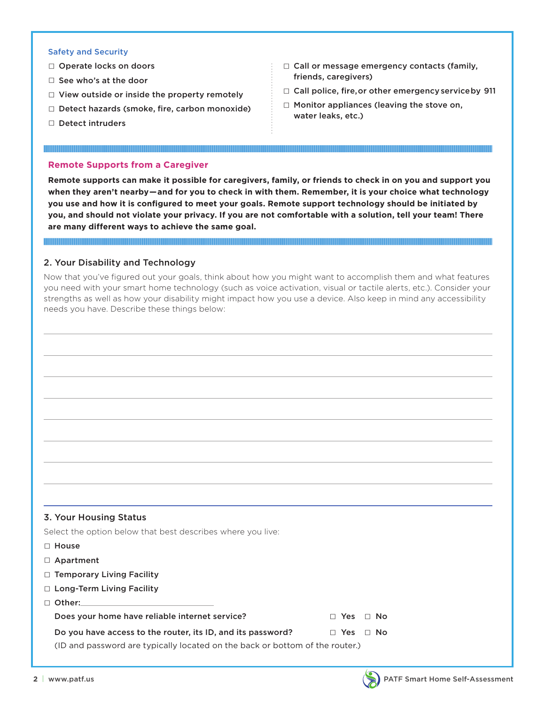#### Safety and Security

- □ Operate locks on doors
- □ See who's at the door
- $\Box$  View outside or inside the property remotely
- $\Box$  Detect hazards (smoke, fire, carbon monoxide)

<u> 1999 - Andrea Station Andrew Maria Station (m. 1989)</u>

□ Detect intruders

- $\Box$  Call or message emergency contacts (family, friends, caregivers)
- $\Box$  Call police, fire, or other emergency service by 911
- $\Box$  Monitor appliances (leaving the stove on, water leaks, etc.)

#### **Remote Supports from a Caregiver**

**Remote supports can make it possible for caregivers, family, or friends to check in on you and support you when they aren't nearby—and for you to check in with them. Remember, it is your choice what technology you use and how it is confgured to meet your goals. Remote support technology should be initiated by you, and should not violate your privacy. If you are not comfortable with a solution, tell your team! There are many different ways to achieve the same goal.** 

## 2. Your Disability and Technology

Now that you've fgured out your goals, think about how you might want to accomplish them and what features you need with your smart home technology (such as voice activation, visual or tactile alerts, etc.). Consider your strengths as well as how your disability might impact how you use a device. Also keep in mind any accessibility needs you have. Describe these things below:

#### 3. Your Housing Status

Select the option below that best describes where you live:

- □ House
- □ Apartment
- □ Temporary Living Facility
- □ Long-Term Living Facility
- □ Other:

Does your home have reliable internet service? □ □ Yes □ No

Do you have access to the router, its ID, and its password?  $\Box$  Yes  $\Box$  No

(ID and password are typically located on the back or bottom of the router.)

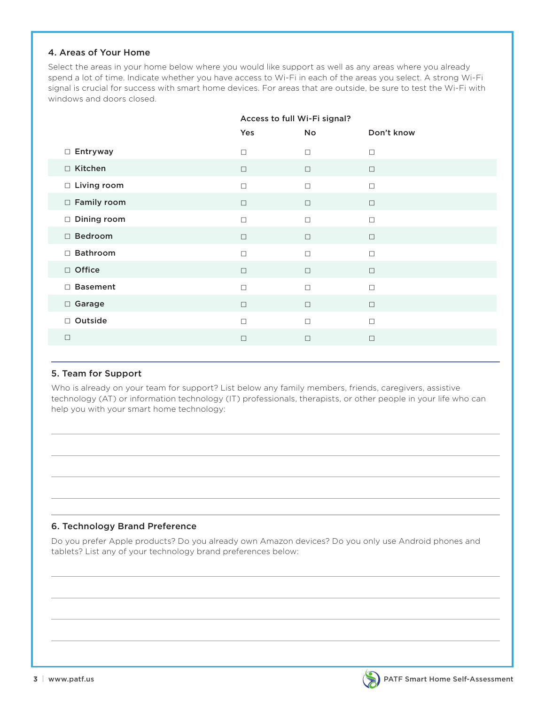## 4. Areas of Your Home

Select the areas in your home below where you would like support as well as any areas where you already spend a lot of time. Indicate whether you have access to Wi-Fi in each of the areas you select. A strong Wi-Fi signal is crucial for success with smart home devices. For areas that are outside, be sure to test the Wi-Fi with windows and doors closed.

|                    |        | Access to full Wi-Fi signal? |            |  |  |
|--------------------|--------|------------------------------|------------|--|--|
|                    | Yes    | No                           | Don't know |  |  |
| □ Entryway         | $\Box$ | $\Box$                       | $\Box$     |  |  |
| □ Kitchen          | $\Box$ | $\Box$                       | $\Box$     |  |  |
| $\Box$ Living room | $\Box$ | $\Box$                       | $\Box$     |  |  |
| $\Box$ Family room | $\Box$ | $\Box$                       | $\Box$     |  |  |
| $\Box$ Dining room | $\Box$ | $\Box$                       | $\Box$     |  |  |
| □ Bedroom          | $\Box$ | $\Box$                       | $\Box$     |  |  |
| $\Box$ Bathroom    | $\Box$ | $\Box$                       | $\Box$     |  |  |
| □ Office           | $\Box$ | $\Box$                       | $\Box$     |  |  |
| □ Basement         | $\Box$ | $\Box$                       | $\Box$     |  |  |
| □ Garage           | $\Box$ | $\Box$                       | $\Box$     |  |  |
| □ Outside          | $\Box$ | $\Box$                       | $\Box$     |  |  |
| $\Box$             | $\Box$ | $\Box$                       | $\Box$     |  |  |
|                    |        |                              |            |  |  |

# 5. Team for Support

Who is already on your team for support? List below any family members, friends, caregivers, assistive technology (AT) or information technology (IT) professionals, therapists, or other people in your life who can help you with your smart home technology:

# 6. Technology Brand Preference

Do you prefer Apple products? Do you already own Amazon devices? Do you only use Android phones and tablets? List any of your technology brand preferences below:

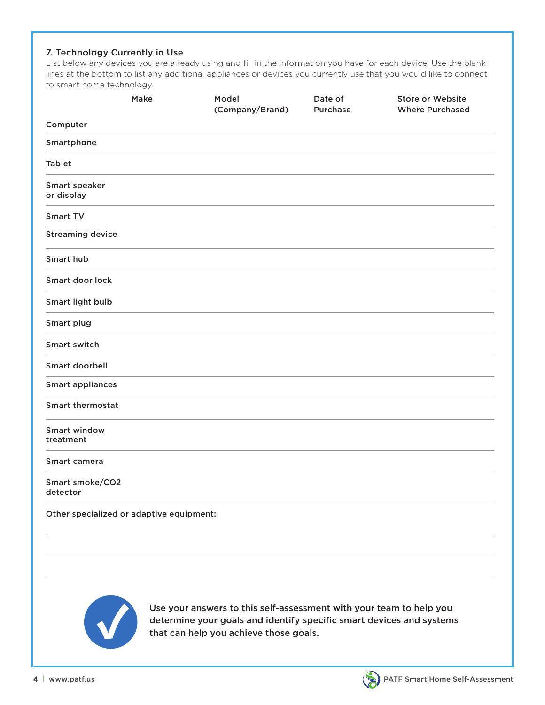# 7. Technology Currently in Use

List below any devices you are already using and fill in the information you have for each device. Use the blank lines at the bottom to list any additional appliances or devices you currently use that you would like to connect to smart home technology.

|                                          | Make | Model<br>(Company/Brand) | Date of<br>Purchase | <b>Store or Website</b><br><b>Where Purchased</b> |
|------------------------------------------|------|--------------------------|---------------------|---------------------------------------------------|
| Computer                                 |      |                          |                     |                                                   |
| Smartphone                               |      |                          |                     |                                                   |
| <b>Tablet</b>                            |      |                          |                     |                                                   |
| Smart speaker<br>or display              |      |                          |                     |                                                   |
| Smart TV                                 |      |                          |                     |                                                   |
| <b>Streaming device</b>                  |      |                          |                     |                                                   |
| Smart hub                                |      |                          |                     |                                                   |
| Smart door lock                          |      |                          |                     |                                                   |
| Smart light bulb                         |      |                          |                     |                                                   |
| Smart plug                               |      |                          |                     |                                                   |
| <b>Smart switch</b>                      |      |                          |                     |                                                   |
| Smart doorbell                           |      |                          |                     |                                                   |
| <b>Smart appliances</b>                  |      |                          |                     |                                                   |
| <b>Smart thermostat</b>                  |      |                          |                     |                                                   |
| <b>Smart window</b><br>treatment         |      |                          |                     |                                                   |
| Smart camera                             |      |                          |                     |                                                   |
| Smart smoke/CO2<br>detector              |      |                          |                     |                                                   |
| Other specialized or adaptive equipment: |      |                          |                     |                                                   |
|                                          |      |                          |                     |                                                   |
|                                          |      |                          |                     |                                                   |
|                                          |      |                          |                     |                                                   |



Use your answers to this self-assessment with your team to help you<br>determine your goals and identify specific smart devices and system<br>that can help you achieve those goals. determine your goals and identify specific smart devices and systems that can help you achieve those goals.